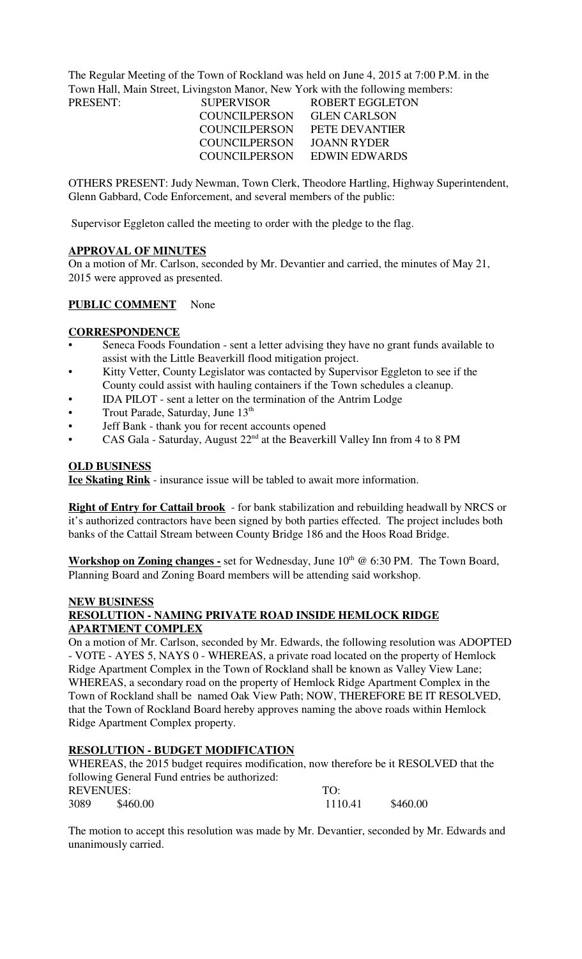The Regular Meeting of the Town of Rockland was held on June 4, 2015 at 7:00 P.M. in the Town Hall, Main Street, Livingston Manor, New York with the following members:

| PRESENT: | <b>SUPERVISOR</b>    | ROBERT EGGLETON       |
|----------|----------------------|-----------------------|
|          | COUNCILPERSON        | <b>GLEN CARLSON</b>   |
|          | COUNCILPERSON        | <b>PETE DEVANTIER</b> |
|          | <b>COUNCILPERSON</b> | JOANN RYDER           |
|          | COUNCILPERSON        | EDWIN EDWARDS         |

OTHERS PRESENT: Judy Newman, Town Clerk, Theodore Hartling, Highway Superintendent, Glenn Gabbard, Code Enforcement, and several members of the public:

Supervisor Eggleton called the meeting to order with the pledge to the flag.

# **APPROVAL OF MINUTES**

On a motion of Mr. Carlson, seconded by Mr. Devantier and carried, the minutes of May 21, 2015 were approved as presented.

# **PUBLIC COMMENT** None

### **CORRESPONDENCE**

- Seneca Foods Foundation sent a letter advising they have no grant funds available to assist with the Little Beaverkill flood mitigation project.
- Kitty Vetter, County Legislator was contacted by Supervisor Eggleton to see if the County could assist with hauling containers if the Town schedules a cleanup.
- IDA PILOT sent a letter on the termination of the Antrim Lodge
- Trout Parade, Saturday, June 13<sup>th</sup>
- Jeff Bank thank you for recent accounts opened
- CAS Gala Saturday, August  $22<sup>nd</sup>$  at the Beaverkill Valley Inn from 4 to 8 PM

### **OLD BUSINESS**

**Ice Skating Rink** - insurance issue will be tabled to await more information.

**Right of Entry for Cattail brook** - for bank stabilization and rebuilding headwall by NRCS or it's authorized contractors have been signed by both parties effected. The project includes both banks of the Cattail Stream between County Bridge 186 and the Hoos Road Bridge.

**Workshop on Zoning changes -** set for Wednesday, June 10<sup>th</sup> @ 6:30 PM. The Town Board, Planning Board and Zoning Board members will be attending said workshop.

#### **NEW BUSINESS**

# **RESOLUTION - NAMING PRIVATE ROAD INSIDE HEMLOCK RIDGE APARTMENT COMPLEX**

On a motion of Mr. Carlson, seconded by Mr. Edwards, the following resolution was ADOPTED - VOTE - AYES 5, NAYS 0 - WHEREAS, a private road located on the property of Hemlock Ridge Apartment Complex in the Town of Rockland shall be known as Valley View Lane; WHEREAS, a secondary road on the property of Hemlock Ridge Apartment Complex in the Town of Rockland shall be named Oak View Path; NOW, THEREFORE BE IT RESOLVED, that the Town of Rockland Board hereby approves naming the above roads within Hemlock Ridge Apartment Complex property.

# **RESOLUTION - BUDGET MODIFICATION**

WHEREAS, the 2015 budget requires modification, now therefore be it RESOLVED that the following General Fund entries be authorized: REVENUES: TO: 3089 \$460.00 1110.41 \$460.00

The motion to accept this resolution was made by Mr. Devantier, seconded by Mr. Edwards and unanimously carried.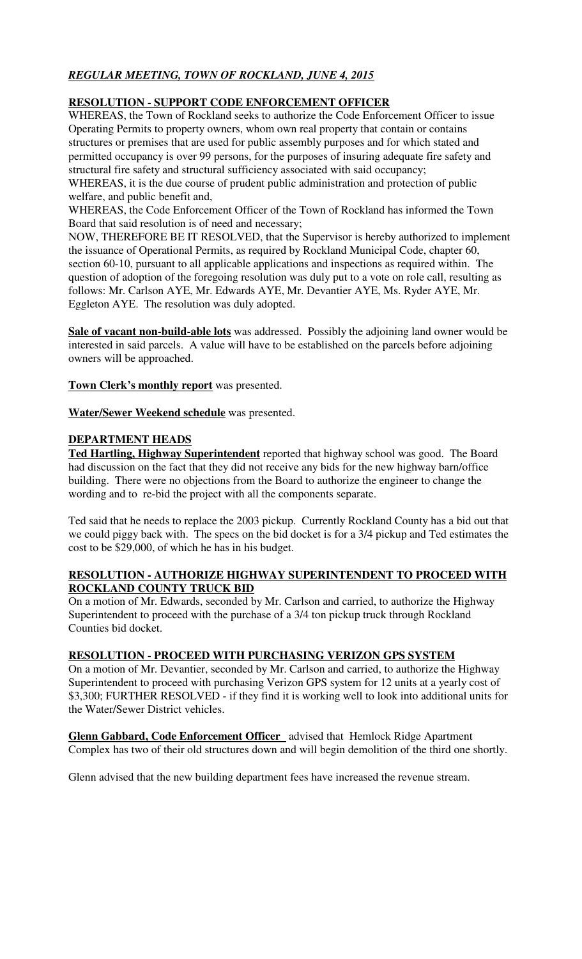# *REGULAR MEETING, TOWN OF ROCKLAND, JUNE 4, 2015*

# **RESOLUTION - SUPPORT CODE ENFORCEMENT OFFICER**

WHEREAS, the Town of Rockland seeks to authorize the Code Enforcement Officer to issue Operating Permits to property owners, whom own real property that contain or contains structures or premises that are used for public assembly purposes and for which stated and permitted occupancy is over 99 persons, for the purposes of insuring adequate fire safety and structural fire safety and structural sufficiency associated with said occupancy;

WHEREAS, it is the due course of prudent public administration and protection of public welfare, and public benefit and,

WHEREAS, the Code Enforcement Officer of the Town of Rockland has informed the Town Board that said resolution is of need and necessary;

NOW, THEREFORE BE IT RESOLVED, that the Supervisor is hereby authorized to implement the issuance of Operational Permits, as required by Rockland Municipal Code, chapter 60, section 60-10, pursuant to all applicable applications and inspections as required within. The question of adoption of the foregoing resolution was duly put to a vote on role call, resulting as follows: Mr. Carlson AYE, Mr. Edwards AYE, Mr. Devantier AYE, Ms. Ryder AYE, Mr. Eggleton AYE. The resolution was duly adopted.

**Sale of vacant non-build-able lots** was addressed. Possibly the adjoining land owner would be interested in said parcels. A value will have to be established on the parcels before adjoining owners will be approached.

**Town Clerk's monthly report** was presented.

**Water/Sewer Weekend schedule** was presented.

# **DEPARTMENT HEADS**

**Ted Hartling, Highway Superintendent** reported that highway school was good. The Board had discussion on the fact that they did not receive any bids for the new highway barn/office building. There were no objections from the Board to authorize the engineer to change the wording and to re-bid the project with all the components separate.

Ted said that he needs to replace the 2003 pickup. Currently Rockland County has a bid out that we could piggy back with. The specs on the bid docket is for a 3/4 pickup and Ted estimates the cost to be \$29,000, of which he has in his budget.

# **RESOLUTION - AUTHORIZE HIGHWAY SUPERINTENDENT TO PROCEED WITH ROCKLAND COUNTY TRUCK BID**

On a motion of Mr. Edwards, seconded by Mr. Carlson and carried, to authorize the Highway Superintendent to proceed with the purchase of a 3/4 ton pickup truck through Rockland Counties bid docket.

# **RESOLUTION - PROCEED WITH PURCHASING VERIZON GPS SYSTEM**

On a motion of Mr. Devantier, seconded by Mr. Carlson and carried, to authorize the Highway Superintendent to proceed with purchasing Verizon GPS system for 12 units at a yearly cost of \$3,300; FURTHER RESOLVED - if they find it is working well to look into additional units for the Water/Sewer District vehicles.

**Glenn Gabbard, Code Enforcement Officer** advised that Hemlock Ridge Apartment Complex has two of their old structures down and will begin demolition of the third one shortly.

Glenn advised that the new building department fees have increased the revenue stream.